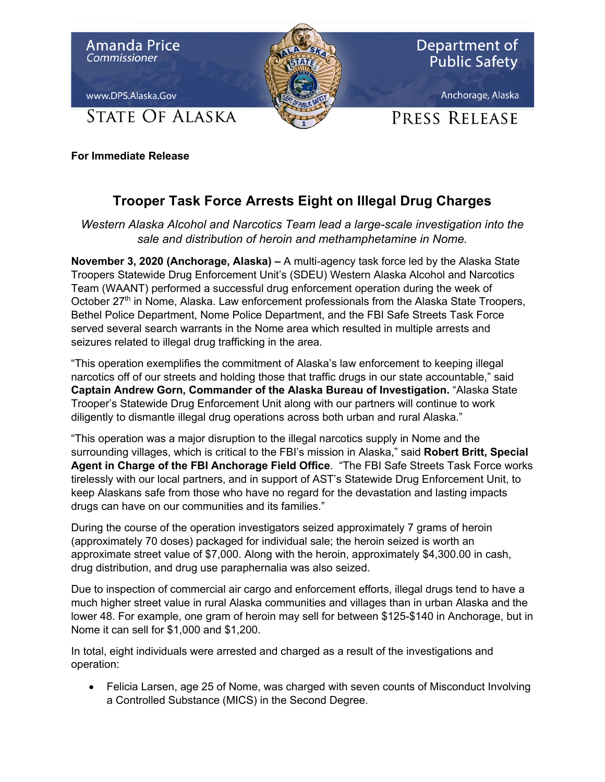

**For Immediate Release**

## **Trooper Task Force Arrests Eight on Illegal Drug Charges**

*Western Alaska Alcohol and Narcotics Team lead a large-scale investigation into the sale and distribution of heroin and methamphetamine in Nome.*

**November 3, 2020 (Anchorage, Alaska) –** A multi-agency task force led by the Alaska State Troopers Statewide Drug Enforcement Unit's (SDEU) Western Alaska Alcohol and Narcotics Team (WAANT) performed a successful drug enforcement operation during the week of October  $27<sup>th</sup>$  in Nome, Alaska. Law enforcement professionals from the Alaska State Troopers, Bethel Police Department, Nome Police Department, and the FBI Safe Streets Task Force served several search warrants in the Nome area which resulted in multiple arrests and seizures related to illegal drug trafficking in the area.

"This operation exemplifies the commitment of Alaska's law enforcement to keeping illegal narcotics off of our streets and holding those that traffic drugs in our state accountable," said **Captain Andrew Gorn, Commander of the Alaska Bureau of Investigation.** "Alaska State Trooper's Statewide Drug Enforcement Unit along with our partners will continue to work diligently to dismantle illegal drug operations across both urban and rural Alaska."

"This operation was a major disruption to the illegal narcotics supply in Nome and the surrounding villages, which is critical to the FBI's mission in Alaska," said **Robert Britt, Special Agent in Charge of the FBI Anchorage Field Office**. "The FBI Safe Streets Task Force works tirelessly with our local partners, and in support of AST's Statewide Drug Enforcement Unit, to keep Alaskans safe from those who have no regard for the devastation and lasting impacts drugs can have on our communities and its families."

During the course of the operation investigators seized approximately 7 grams of heroin (approximately 70 doses) packaged for individual sale; the heroin seized is worth an approximate street value of \$7,000. Along with the heroin, approximately \$4,300.00 in cash, drug distribution, and drug use paraphernalia was also seized.

Due to inspection of commercial air cargo and enforcement efforts, illegal drugs tend to have a much higher street value in rural Alaska communities and villages than in urban Alaska and the lower 48. For example, one gram of heroin may sell for between \$125-\$140 in Anchorage, but in Nome it can sell for \$1,000 and \$1,200.

In total, eight individuals were arrested and charged as a result of the investigations and operation:

• Felicia Larsen, age 25 of Nome, was charged with seven counts of Misconduct Involving a Controlled Substance (MICS) in the Second Degree.